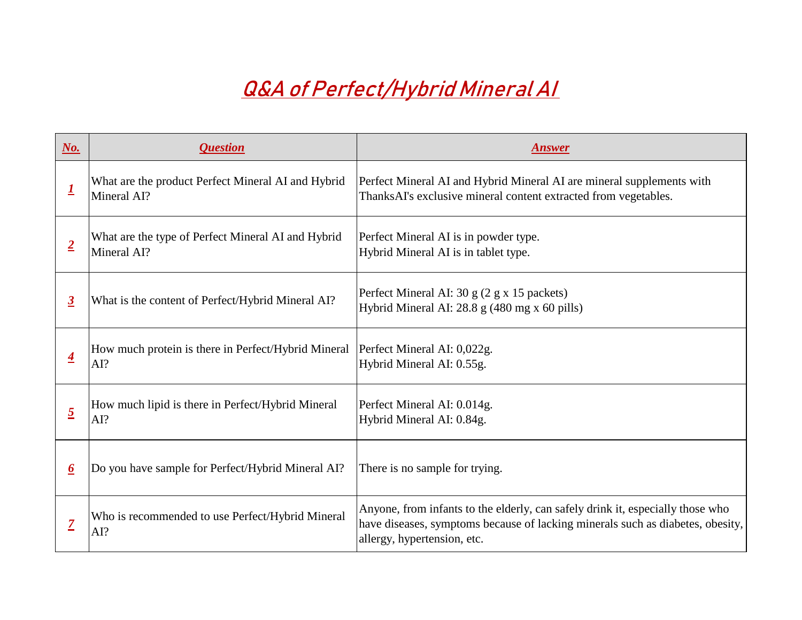| $\underline{\textbf{No}}$ . | <i><b>Question</b></i>                                            | <b>Answer</b>                                                                                                                                                                                |
|-----------------------------|-------------------------------------------------------------------|----------------------------------------------------------------------------------------------------------------------------------------------------------------------------------------------|
|                             | What are the product Perfect Mineral AI and Hybrid<br>Mineral AI? | Perfect Mineral AI and Hybrid Mineral AI are mineral supplements with<br>ThanksAI's exclusive mineral content extracted from vegetables.                                                     |
| $\overline{2}$              | What are the type of Perfect Mineral AI and Hybrid<br>Mineral AI? | Perfect Mineral AI is in powder type.<br>Hybrid Mineral AI is in tablet type.                                                                                                                |
| $\overline{3}$              | What is the content of Perfect/Hybrid Mineral AI?                 | Perfect Mineral AI: 30 g (2 g x 15 packets)<br>Hybrid Mineral AI: 28.8 g (480 mg x 60 pills)                                                                                                 |
|                             | How much protein is there in Perfect/Hybrid Mineral<br> AI?       | Perfect Mineral AI: 0,022g.<br>Hybrid Mineral AI: 0.55g.                                                                                                                                     |
| $\overline{2}$              | How much lipid is there in Perfect/Hybrid Mineral<br> AI?         | Perfect Mineral AI: 0.014g.<br>Hybrid Mineral AI: 0.84g.                                                                                                                                     |
|                             | Do you have sample for Perfect/Hybrid Mineral AI?                 | There is no sample for trying.                                                                                                                                                               |
|                             | Who is recommended to use Perfect/Hybrid Mineral<br> AI?          | Anyone, from infants to the elderly, can safely drink it, especially those who<br>have diseases, symptoms because of lacking minerals such as diabetes, obesi<br>allergy, hypertension, etc. |



| <b>Answer</b>                                                                                                                                                                                   |  |  |
|-------------------------------------------------------------------------------------------------------------------------------------------------------------------------------------------------|--|--|
| Perfect Mineral AI and Hybrid Mineral AI are mineral supplements with<br>ThanksAI's exclusive mineral content extracted from vegetables.                                                        |  |  |
| Perfect Mineral AI is in powder type.<br>Hybrid Mineral AI is in tablet type.                                                                                                                   |  |  |
| Perfect Mineral AI: 30 g (2 g x 15 packets)<br>Hybrid Mineral AI: $28.8$ g (480 mg x 60 pills)                                                                                                  |  |  |
| Perfect Mineral AI: 0,022g.<br>Hybrid Mineral AI: 0.55g.                                                                                                                                        |  |  |
| Perfect Mineral AI: 0.014g.<br>Hybrid Mineral AI: 0.84g.                                                                                                                                        |  |  |
| There is no sample for trying.                                                                                                                                                                  |  |  |
| Anyone, from infants to the elderly, can safely drink it, especially those who<br>have diseases, symptoms because of lacking minerals such as diabetes, obesity,<br>allergy, hypertension, etc. |  |  |

## **Q&A of Perfect/Hybrid Mineral AI**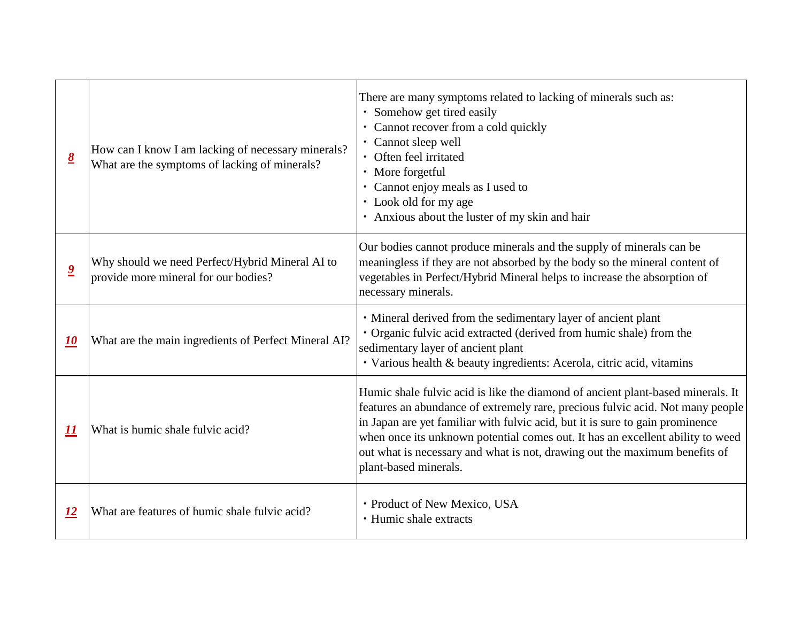| $\underline{8}$         | How can I know I am lacking of necessary minerals?<br>What are the symptoms of lacking of minerals? | There are many symptoms related to la<br>• Somehow get tired easily<br>Cannot recover from a cold quickly<br>Cannot sleep well<br>Often feel irritated<br>$\bullet$<br>More forgetful<br>$\bullet$<br>Cannot enjoy meals as I used to<br>$\bullet$<br>• Look old for my age<br>Anxious about the luster of my skin<br>$\bullet$ |
|-------------------------|-----------------------------------------------------------------------------------------------------|---------------------------------------------------------------------------------------------------------------------------------------------------------------------------------------------------------------------------------------------------------------------------------------------------------------------------------|
| $\overline{\mathbf{2}}$ | Why should we need Perfect/Hybrid Mineral AI to<br>provide more mineral for our bodies?             | Our bodies cannot produce minerals are<br>meaningless if they are not absorbed by<br>vegetables in Perfect/Hybrid Mineral h<br>necessary minerals.                                                                                                                                                                              |
| <u> 10</u>              | What are the main ingredients of Perfect Mineral AI?                                                | • Mineral derived from the sedimental<br>· Organic fulvic acid extracted (derive<br>sedimentary layer of ancient plant<br>• Various health & beauty ingredients                                                                                                                                                                 |
| <u> 11</u>              | What is humic shale fulvic acid?                                                                    | Humic shale fulvic acid is like the diar<br>features an abundance of extremely rar<br>in Japan are yet familiar with fulvic act<br>when once its unknown potential come<br>out what is necessary and what is not,<br>plant-based minerals.                                                                                      |
| <u>12</u>               | What are features of humic shale fulvic acid?                                                       | • Product of New Mexico, USA<br>• Humic shale extracts                                                                                                                                                                                                                                                                          |

acking of minerals such as:

n and hair

nd the supply of minerals can be by the body so the mineral content of helps to increase the absorption of

ary layer of ancient plant ed from humic shale) from the

s: Acerola, citric acid, vitamins

mond of ancient plant-based minerals. It re, precious fulvic acid. Not many people eid, but it is sure to gain prominence es out. It has an excellent ability to weed drawing out the maximum benefits of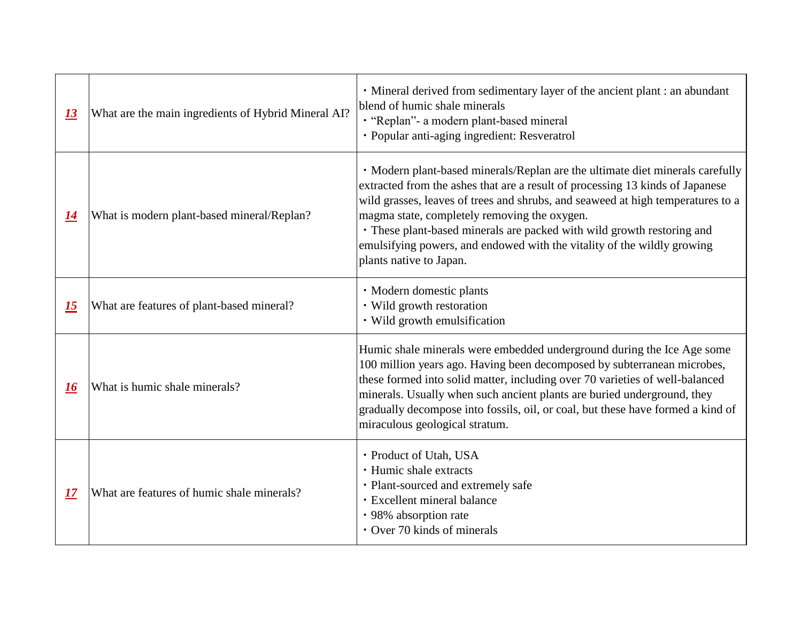| <u>13</u> | What are the main ingredients of Hybrid Mineral AI? | · Mineral derived from sedimentary la<br>blend of humic shale minerals<br>· "Replan" - a modern plant-based mir<br>· Popular anti-aging ingredient: Resve                                                                                                                        |
|-----------|-----------------------------------------------------|----------------------------------------------------------------------------------------------------------------------------------------------------------------------------------------------------------------------------------------------------------------------------------|
| 14        | What is modern plant-based mineral/Replan?          | · Modern plant-based minerals/Replan<br>extracted from the ashes that are a resu<br>wild grasses, leaves of trees and shrubs<br>magma state, completely removing the<br>• These plant-based minerals are pack<br>emulsifying powers, and endowed with<br>plants native to Japan. |
| <u>15</u> | What are features of plant-based mineral?           | · Modern domestic plants<br>• Wild growth restoration<br>• Wild growth emulsification                                                                                                                                                                                            |
| 16        | What is humic shale minerals?                       | Humic shale minerals were embedded<br>100 million years ago. Having been de<br>these formed into solid matter, including<br>minerals. Usually when such ancient p<br>gradually decompose into fossils, oil, o<br>miraculous geological stratum.                                  |
| 17        | What are features of humic shale minerals?          | • Product of Utah, USA<br>• Humic shale extracts<br>• Plant-sourced and extremely safe<br>· Excellent mineral balance<br>• 98% absorption rate<br>• Over 70 kinds of minerals                                                                                                    |

ayer of the ancient plant : an abundant

neral eratrol

In are the ultimate diet minerals carefully alt of processing 13 kinds of Japanese s, and seaweed at high temperatures to a oxygen.

ked with wild growth restoring and h the vitality of the wildly growing

underground during the Ice Age some ecomposed by subterranean microbes, ng over 70 varieties of well-balanced plants are buried underground, they or coal, but these have formed a kind of